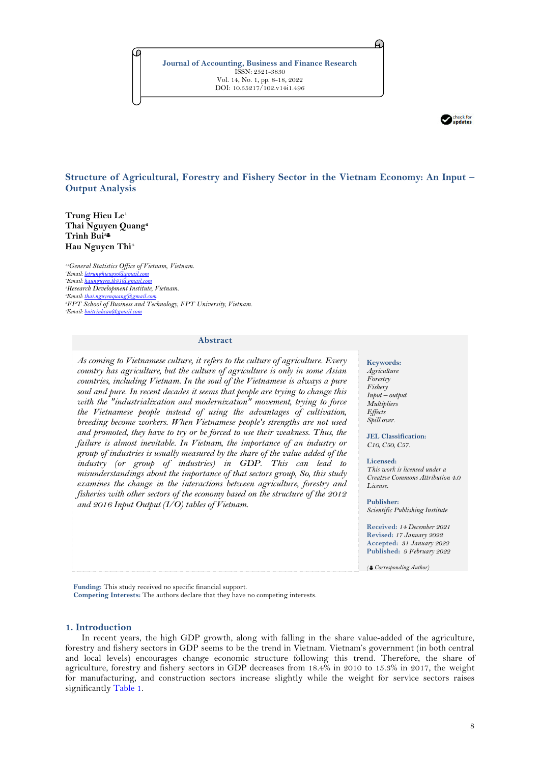

**Structure of Agricultural, Forestry and Fishery Sector in the Vietnam Economy: An Input – Output Analysis**

**Trung Hieu Le<sup>1</sup> Thai Nguyen Quang<sup>2</sup> Trinh Bui<sup>3</sup> Hau Nguyen Thi<sup>4</sup>**

*1,4General Statistics Office of Vietnam, Vietnam. Email[: letrunghieugso@gmail.com](mailto:letrunghieugso@gmail.com) <sup>4</sup>Email[: haunguyen.tk81@gmail.com](mailto:haunguyen.tk81@gmail.com) Research Development Institute, Vietnam. Email[: thai.nguyenquang@gmail.com](mailto:thai.nguyenquang@gmail.com) FPT School of Business and Technology, FPT University, Vietnam. Email[: buitrinhcan@gmail.com](mailto:buitrinhcan@gmail.com)*

### **Abstract**

*As coming to Vietnamese culture, it refers to the culture of agriculture. Every country has agriculture, but the culture of agriculture is only in some Asian countries, including Vietnam. In the soul of the Vietnamese is always a pure soul and pure. In recent decades it seems that people are trying to change this with the "industrialization and modernization" movement, trying to force the Vietnamese people instead of using the advantages of cultivation, breeding become workers. When Vietnamese people's strengths are not used and promoted, they have to try or be forced to use their weakness. Thus, the failure is almost inevitable. In Vietnam, the importance of an industry or group of industries is usually measured by the share of the value added of the industry (or group of industries) in GDP. This can lead to misunderstandings about the importance of that sectors group, So, this study examines the change in the interactions between agriculture, forestry and fisheries with other sectors of the economy based on the structure of the 2012 and 2016 Input Output (I/O) tables of Vietnam.*

#### **Keywords:** *Agriculture Forestry Fishery Input – output Multipliers Effects Spill over.*

A.

**JEL Classification:**  *C10, C50, C57.*

**Licensed:**  *This work is licensed under a Creative Commons Attribution 4.0 License.* 

**Publisher:**  *Scientific Publishing Institute*

**Received:** *14 December 2021* **Revised:** *17 January 2022* **Accepted:** *31 January 2022* **Published:** *9 February 2022*

*( Corresponding Author)*

**Funding:** This study received no specific financial support. **Competing Interests:** The authors declare that they have no competing interests.

# **1. Introduction**

In recent years, the high GDP growth, along with falling in the share value-added of the agriculture, forestry and fishery sectors in GDP seems to be the trend in Vietnam. Vietnam's government (in both central and local levels) encourages change economic structure following this trend. Therefore, the share of agriculture, forestry and fishery sectors in GDP decreases from 18.4% in 2010 to 15.3% in 2017, the weight for manufacturing, and construction sectors increase slightly while the weight for service sectors raises significantly [Table 1.](#page-1-0)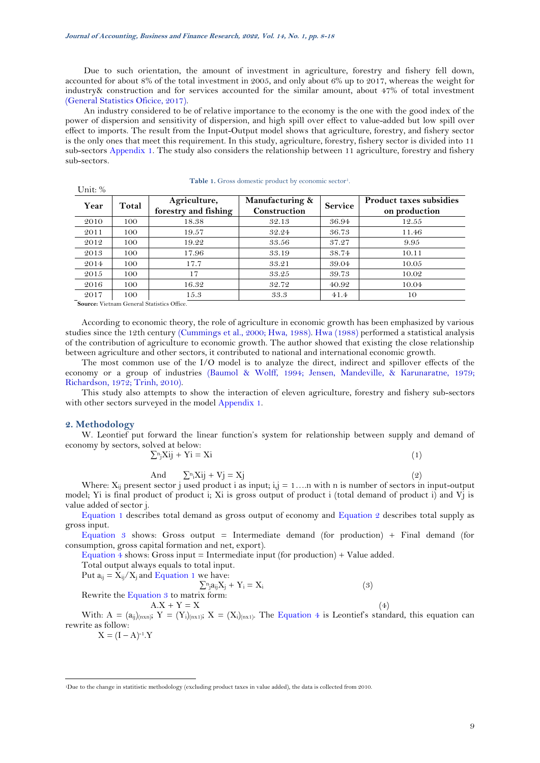Due to such orientation, the amount of investment in agriculture, forestry and fishery fell down, accounted for about 8% of the total investment in 2005, and only about 6% up to 2017, whereas the weight for industry& construction and for services accounted for the similar amount, about 47% of total investment [\(General Statistics Oficice, 2017\)](#page-5-0).

An industry considered to be of relative importance to the economy is the one with the good index of the power of dispersion and sensitivity of dispersion, and high spill over effect to value-added but low spill over effect to imports. The result from the Input-Output model shows that agriculture, forestry, and fishery sector is the only ones that meet this requirement. In this study, agriculture, forestry, fishery sector is divided into 11 sub-sectors [Appendix 1.](#page-5-1) The study also considers the relationship between 11 agriculture, forestry and fishery sub-sectors.

| Year | Total | Agriculture,<br>forestry and fishing | Manufacturing &<br>Construction | <b>Service</b> | <b>Product taxes subsidies</b><br>on production |
|------|-------|--------------------------------------|---------------------------------|----------------|-------------------------------------------------|
| 2010 | 100   | 18.38                                | 32.13                           | 36.94          | 12.55                                           |
| 2011 | 100   | 19.57                                | 32.24                           | 36.73          | 11.46                                           |
| 2012 | 100   | 19.22                                | 33.56                           | 37.27          | 9.95                                            |
| 2013 | 100   | 17.96                                | 33.19                           | 38.74          | 10.11                                           |
| 2014 | 100   | 17.7                                 | 33.21                           | 39.04          | 10.05                                           |
| 2015 | 100   | 17                                   | 33.25                           | 39.73          | 10.02                                           |
| 2016 | 100   | 16.32                                | 32.72                           | 40.92          | 10.04                                           |
| 2017 | 100   | 15.3                                 | 33.3                            | 41.4           | 10                                              |

|  |  | <b>Table 1.</b> Gross domestic product by economic sector <sup>1</sup> . |
|--|--|--------------------------------------------------------------------------|
|  |  |                                                                          |

**Source:** Vietnam General Statistics Office.

According to economic theory, the role of agriculture in economic growth has been emphasized by various studies since the 12th century [\(Cummings et al., 2000;](#page-5-2) [Hwa, 1988\)](#page-5-3). [Hwa \(1988\)](#page-5-3) performed a statistical analysis of the contribution of agriculture to economic growth. The author showed that existing the close relationship between agriculture and other sectors, it contributed to national and international economic growth.

The most common use of the I/O model is to analyze the direct, indirect and spillover effects of the economy or a group of industries [\(Baumol & Wolff, 1994;](#page-5-4) [Jensen, Mandeville, & Karunaratne, 1979;](#page-5-5) [Richardson, 1972;](#page-5-6) [Trinh, 2010\)](#page-5-7).

This study also attempts to show the interaction of eleven agriculture, forestry and fishery sub-sectors with other sectors surveyed in the model [Appendix 1.](#page-5-1)

#### **2. Methodology**

<span id="page-1-0"></span> $\text{Unit: } \%$ 

W. Leontief put forward the linear function's system for relationship between supply and demand of economy by sectors, solved at below:

<span id="page-1-1"></span>
$$
\sum_{i}^{n} X_{ij} + Y_{i} = X_{i}
$$
 (1)

<span id="page-1-4"></span><span id="page-1-2"></span>
$$
And \t \sum_{i} x_{ij} + Vj = Xj \t (2)
$$

Where:  $X_{ij}$  present sector j used product i as input; i,j = 1... n with n is number of sectors in input-output model; Yi is final product of product i; Xi is gross output of product i (total demand of product i) and Vj is value added of sector j.

[Equation 1](#page-1-1) describes total demand as gross output of economy and [Equation 2](#page-1-2) describes total supply as gross input.

[Equation 3](#page-1-3) shows: Gross output = Intermediate demand (for production) + Final demand (for consumption, gross capital formation and net, export).

[Equation 4](#page-1-4) shows: Gross input = Intermediate input (for production) + Value added.

<span id="page-1-3"></span>Total output always equals to total input.

Put  $a_{ij} = X_{ij}/X_j$  and [Equation 1](#page-1-1) we have:

 $\sum_{i}^{n} a_{ij} X_j + Y_i = X_i$  (3) Rewrite the Equation  $\frac{3}{5}$  to matrix form:  $A.X + Y = X$  (4)

With: A = 
$$
(a_{ij})_{(n \times n)}
$$
; Y =  $(Y_i)_{(n \times 1)}$ ; X =  $(X_i)_{(n \times 1)}$ . The Equation 4 is Leontief's standard, this equation can rewrite as follow:

 $X = (I - A)^{-1} \cdot Y$ 

<sup>1</sup>Due to the change in statitistic methodology (excluding product taxes in value added), the data is collected from 2010.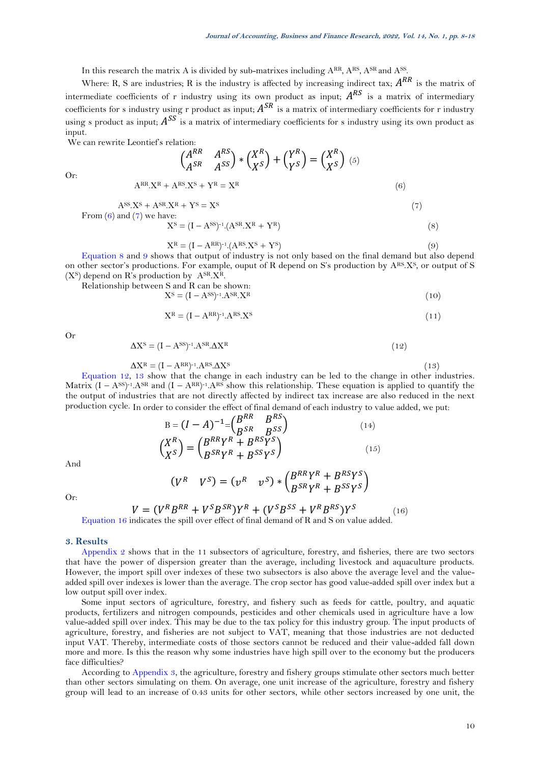In this research the matrix A is divided by sub-matrixes including ARR, ARS, ASR and ASS.

Where: R, S are industries; R is the industry is affected by increasing indirect tax;  $A^{RR}$  is the matrix of intermediate coefficients of r industry using its own product as input;  $A^{RS}$  is a matrix of intermediary coefficients for s industry using r product as input;  $A^{SR}$  is a matrix of intermediary coefficients for r industry using s product as input;  $A^{SS}$  is a matrix of intermediary coefficients for s industry using its own product as input.

We can rewrite Leontief's relation:

$$
\begin{pmatrix} A^{RR} & A^{RS} \\ A^{SR} & A^{SS} \end{pmatrix} \ast \begin{pmatrix} X^R \\ X^S \end{pmatrix} + \begin{pmatrix} Y^R \\ Y^S \end{pmatrix} = \begin{pmatrix} X^R \\ X^S \end{pmatrix} \tag{6}
$$
\n
$$
A^{RR} \cdot X^R + A^{RS} \cdot X^S + Y^R = X^R
$$

Or:

$$
A^{SS}.X^S + A^{SR}.X^R + Y^S = X^S
$$
\n
$$
From (6) and (7) we have:
$$
\n
$$
(7)
$$

<span id="page-2-1"></span><span id="page-2-0"></span>
$$
XS = (I - ASS)-1 (ASR XR + YR)
$$
\n(8)

<span id="page-2-2"></span>
$$
X^R = (I - A^{RR})^{-1} (A^{RS} X^S + Y^S)
$$
\n
$$
(9)
$$

[Equation 8](#page-2-2) and [9](#page-2-3) shows that output of industry is not only based on the final demand but also depend on other sector's productions. For example, ouput of R depend on S's production by ARS.XS, or output of S  $(X<sup>S</sup>)$  depend on R's production by  $A<sup>SR</sup> X<sup>R</sup>$ .

Relationship between S and R can be shown:

\n
$$
X^{S} = (I - A^{SS})^{-1} A^{SR} X^{R}
$$
\n
$$
(10)
$$

<span id="page-2-3"></span>
$$
X^R = (I - A^{RR})^{-1} A^{RS} X^S
$$
\n
$$
(11)
$$

Or

$$
\Delta X^{\rm S} = (I - A^{\rm SS})^{-1} A^{\rm SR} \Delta X^{\rm R} \tag{12}
$$

$$
\Delta X^{\rm R} = (I - A^{\rm RR})^{-1} A^{\rm RS} \Delta X^{\rm S} \tag{13}
$$

[Equation 12,](#page-2-4) [13](#page-2-5) show that the change in each industry can be led to the change in other industries. Matrix  $(I - A^{SS})^{-1} A^{SR}$  and  $(I - A^{RR})^{-1} A^{RS}$  show this relationship. These equation is applied to quantify the the output of industries that are not directly affected by indirect tax increase are also reduced in the next production cycle. In order to consider the effect of final demand of each industry to value added, we put:

<span id="page-2-6"></span><span id="page-2-5"></span><span id="page-2-4"></span>
$$
B = (I - A)^{-1} = \begin{pmatrix} B^{RR} & B^{RS} \\ B^{SR} & B^{SS} \end{pmatrix} \tag{14}
$$
\n
$$
\begin{pmatrix} X^R \\ X^S \end{pmatrix} = \begin{pmatrix} B^{RR}Y^R + B^{RS}Y^S \\ B^{SR}Y^R + B^{SS}Y^S \end{pmatrix} \tag{15}
$$

And

$$
(V^R \tV^S) = (\nu^R \tv^S) * \begin{pmatrix} B^{RR}Y^R + B^{RS}Y^S \\ B^{SR}Y^R + B^{SS}Y^S \end{pmatrix}
$$

Or:

$$
V = (V^R B^{RR} + V^S B^{SR}) Y^R + (V^S B^{SS} + V^R B^{RS}) Y^S
$$

(16) [Equation 16](#page-2-6) indicates the spill over effect of final demand of R and S on value added.

### **3. Results**

[Appendix 2](#page-6-0) shows that in the 11 subsectors of agriculture, forestry, and fisheries, there are two sectors that have the power of dispersion greater than the average, including livestock and aquaculture products. However, the import spill over indexes of these two subsectors is also above the average level and the valueadded spill over indexes is lower than the average. The crop sector has good value-added spill over index but a low output spill over index.

Some input sectors of agriculture, forestry, and fishery such as feeds for cattle, poultry, and aquatic products, fertilizers and nitrogen compounds, pesticides and other chemicals used in agriculture have a low value-added spill over index. This may be due to the tax policy for this industry group. The input products of agriculture, forestry, and fisheries are not subject to VAT, meaning that those industries are not deducted input VAT. Thereby, intermediate costs of those sectors cannot be reduced and their value-added fall down more and more. Is this the reason why some industries have high spill over to the economy but the producers face difficulties?

According to [Appendix 3,](#page-7-0) the agriculture, forestry and fishery groups stimulate other sectors much better than other sectors simulating on them. On average, one unit increase of the agriculture, forestry and fishery group will lead to an increase of 0.43 units for other sectors, while other sectors increased by one unit, the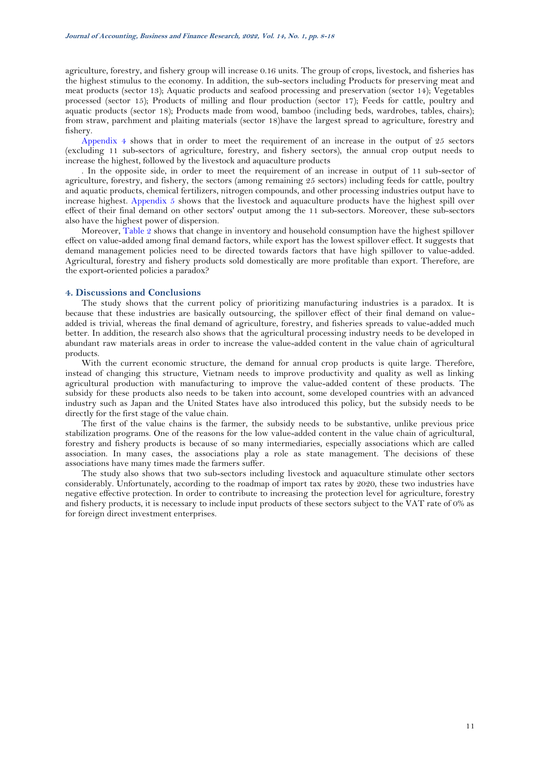agriculture, forestry, and fishery group will increase 0.16 units. The group of crops, livestock, and fisheries has the highest stimulus to the economy. In addition, the sub-sectors including Products for preserving meat and meat products (sector 13); Aquatic products and seafood processing and preservation (sector 14); Vegetables processed (sector 15); Products of milling and flour production (sector 17); Feeds for cattle, poultry and aquatic products (sector 18); Products made from wood, bamboo (including beds, wardrobes, tables, chairs); from straw, parchment and plaiting materials (sector 18)have the largest spread to agriculture, forestry and fishery.

[Appendix 4](#page-8-0) shows that in order to meet the requirement of an increase in the output of 25 sectors (excluding 11 sub-sectors of agriculture, forestry, and fishery sectors), the annual crop output needs to increase the highest, followed by the livestock and aquaculture products

. In the opposite side, in order to meet the requirement of an increase in output of 11 sub-sector of agriculture, forestry, and fishery, the sectors (among remaining 25 sectors) including feeds for cattle, poultry and aquatic products, chemical fertilizers, nitrogen compounds, and other processing industries output have to increase highest. [Appendix 5](#page-9-0) shows that the livestock and aquaculture products have the highest spill over effect of their final demand on other sectors' output among the 11 sub-sectors. Moreover, these sub-sectors also have the highest power of dispersion.

Moreover, [Table 2](#page-4-0) shows that change in inventory and household consumption have the highest spillover effect on value-added among final demand factors, while export has the lowest spillover effect. It suggests that demand management policies need to be directed towards factors that have high spillover to value-added. Agricultural, forestry and fishery products sold domestically are more profitable than export. Therefore, are the export-oriented policies a paradox?

## **4. Discussions and Conclusions**

The study shows that the current policy of prioritizing manufacturing industries is a paradox. It is because that these industries are basically outsourcing, the spillover effect of their final demand on valueadded is trivial, whereas the final demand of agriculture, forestry, and fisheries spreads to value-added much better. In addition, the research also shows that the agricultural processing industry needs to be developed in abundant raw materials areas in order to increase the value-added content in the value chain of agricultural products.

With the current economic structure, the demand for annual crop products is quite large. Therefore, instead of changing this structure, Vietnam needs to improve productivity and quality as well as linking agricultural production with manufacturing to improve the value-added content of these products. The subsidy for these products also needs to be taken into account, some developed countries with an advanced industry such as Japan and the United States have also introduced this policy, but the subsidy needs to be directly for the first stage of the value chain.

The first of the value chains is the farmer, the subsidy needs to be substantive, unlike previous price stabilization programs. One of the reasons for the low value-added content in the value chain of agricultural, forestry and fishery products is because of so many intermediaries, especially associations which are called association. In many cases, the associations play a role as state management. The decisions of these associations have many times made the farmers suffer.

The study also shows that two sub-sectors including livestock and aquaculture stimulate other sectors considerably. Unfortunately, according to the roadmap of import tax rates by 2020, these two industries have negative effective protection. In order to contribute to increasing the protection level for agriculture, forestry and fishery products, it is necessary to include input products of these sectors subject to the VAT rate of 0% as for foreign direct investment enterprises.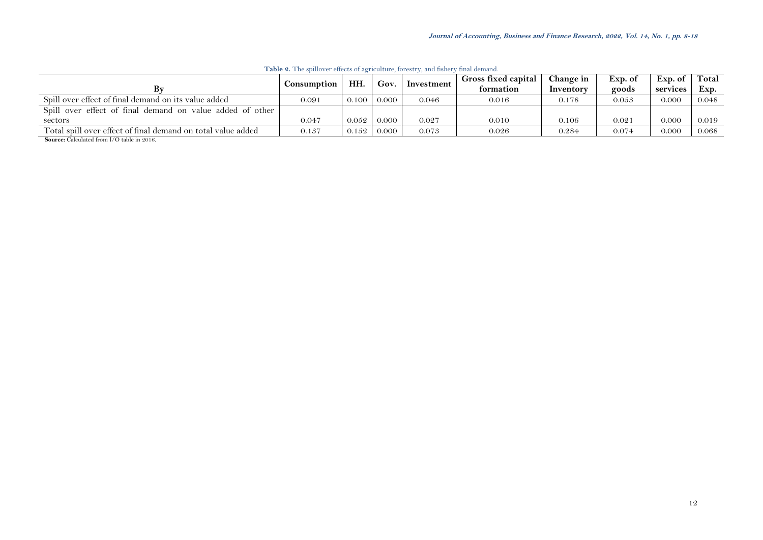<span id="page-4-0"></span>

|                                                              | Consumption | HH.   | Gov.  | Investment | Gross fixed capital<br>formation | Change in<br>Inventory | Exp. of<br>goods | Exp. of<br>services | Total<br>Exp. |
|--------------------------------------------------------------|-------------|-------|-------|------------|----------------------------------|------------------------|------------------|---------------------|---------------|
| Spill over effect of final demand on its value added         | 0.091       | 0.100 | 0.000 | 0.046      | 0.016                            | 0.178                  | 0.053            | 0.000               | 0.048         |
| Spill over effect of final demand on value added of other    |             |       |       |            |                                  |                        |                  |                     |               |
| sectors                                                      | 0.047       | 0.052 | 0.000 | 0.027      | 0.010                            | 0.106                  | 0.021            | 0.000               | 0.019         |
| Total spill over effect of final demand on total value added | 0.137       | 0.152 | 0.000 | 0.073      | 0.026                            | 0.284                  | 0.074            | 0.000               | 0.068         |

**Table 2.** The spillover effects of agriculture, forestry, and fishery final demand.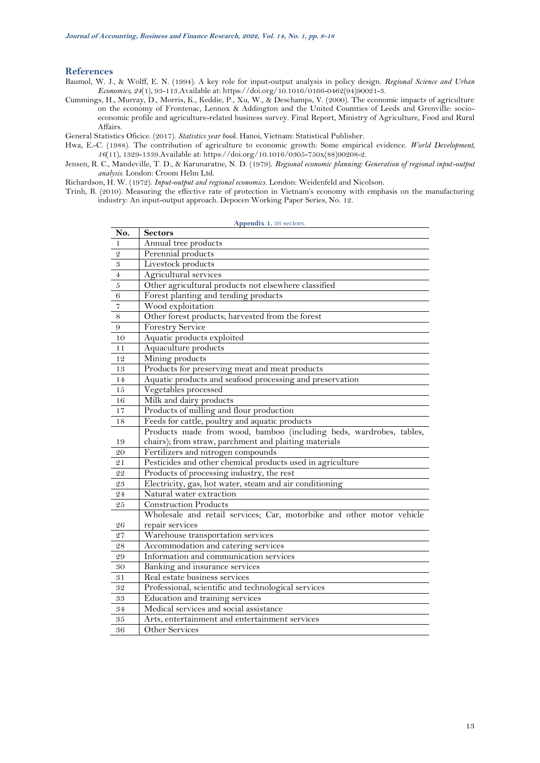### **References**

- <span id="page-5-4"></span>Baumol, W. J., & Wolff, E. N. (1994). A key role for input-output analysis in policy design. *Regional Science and Urban Economics, 24*(1), 93-113.Available at: https://doi.org/10.1016/0166-0462(94)90021-3.
- <span id="page-5-2"></span>Cummings, H., Murray, D., Morris, K., Keddie, P., Xu, W., & Deschamps, V. (2000). The economic impacts of agriculture on the economy of Frontenac, Lennox & Addington and the United Coumties of Leeds and Grenville: socioeconomic profile and agriculture-related business survey. Final Report, Ministry of Agriculture, Food and Rural Affairs.

<span id="page-5-0"></span>General Statistics Oficice. (2017). *Statistics year book*. Hanoi, Vietnam: Statistical Publisher.

- <span id="page-5-3"></span>Hwa, E.-C. (1988). The contribution of agriculture to economic growth: Some empirical evidence. *World Development,*  (11), 1329-1339.Available at: https://doi.org/10.1016/0305-750x(88)90208-2.
- <span id="page-5-5"></span>Jensen, R. C., Mandeville, T. D., & Karunaratne, N. D. (1979). *Regional economic planning: Generation of regional input-output analysis*. London: Croom Helm Ltd.

<span id="page-5-6"></span>Richardson, H. W. (1972). *Input-output and regional economics*. London: Weidenfeld and Nicolson.

<span id="page-5-7"></span><span id="page-5-1"></span>Trinh, B. (2010). Measuring the effective rate of protection in Vietnam's economy with emphasis on the manufacturing industry: An input-output approach. Depocen Working Paper Series, No. 12.

**Appendix 1.** 36 sectors.

| No.            | <b>Sectors</b>                                                        |
|----------------|-----------------------------------------------------------------------|
| 1              | Annual tree products                                                  |
| $\overline{2}$ | Perennial products                                                    |
| 3              | Livestock products                                                    |
| 4              | Agricultural services                                                 |
| 5              | Other agricultural products not elsewhere classified                  |
| 6              | Forest planting and tending products                                  |
| $\overline{7}$ | Wood exploitation                                                     |
| 8              | Other forest products; harvested from the forest                      |
| 9              | <b>Forestry Service</b>                                               |
| 10             | Aquatic products exploited                                            |
| 11             | Aquaculture products                                                  |
| 12             | Mining products                                                       |
| 13             | Products for preserving meat and meat products                        |
| 14             | Aquatic products and seafood processing and preservation              |
| 15             | Vegetables processed                                                  |
| 16             | Milk and dairy products                                               |
| 17             | Products of milling and flour production                              |
| 18             | Feeds for cattle, poultry and aquatic products                        |
|                | Products made from wood, bamboo (including beds, wardrobes, tables,   |
| 19             | chairs); from straw, parchment and plaiting materials                 |
| 20             | Fertilizers and nitrogen compounds                                    |
| 21             | Pesticides and other chemical products used in agriculture            |
| 22             | Products of processing industry, the rest                             |
| 23             | Electricity, gas, hot water, steam and air conditioning               |
| 24             | Natural water extraction                                              |
| 25             | <b>Construction Products</b>                                          |
|                | Wholesale and retail services; Car, motorbike and other motor vehicle |
| 26             | repair services                                                       |
| 27             | Warehouse transportation services                                     |
| 28             | Accommodation and catering services                                   |
| 29             | Information and communication services                                |
| 30             | Banking and insurance services                                        |
| 31             | Real estate business services                                         |
| 32             | Professional, scientific and technological services                   |
| 33             | Education and training services                                       |
| 34             | Medical services and social assistance                                |
| 35             | Arts, entertainment and entertainment services                        |
| 36             | Other Services                                                        |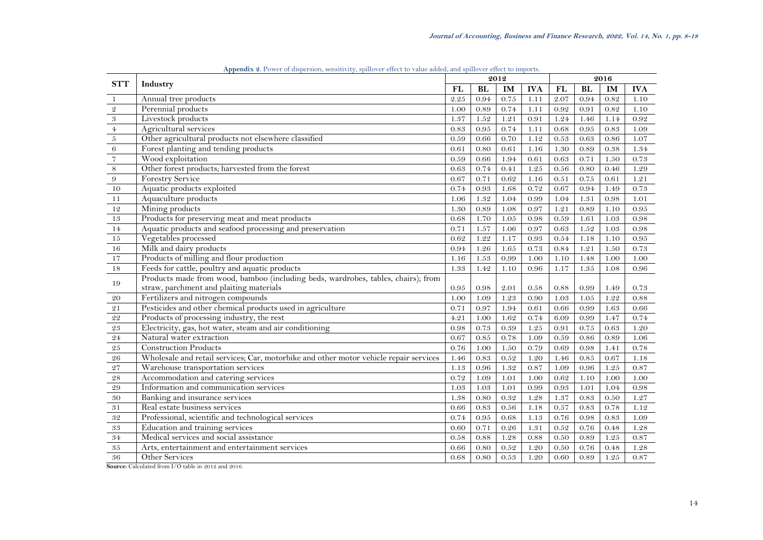<span id="page-6-0"></span>

| <b>STT</b>                 | Industry                                                                              | 2012 |           |                   |            | 2016     |            |      |            |
|----------------------------|---------------------------------------------------------------------------------------|------|-----------|-------------------|------------|----------|------------|------|------------|
|                            |                                                                                       | FL   | <b>BL</b> | IM                | <b>IVA</b> | FL       | <b>BL</b>  | IM   | <b>IVA</b> |
| $\mathbf{1}$               | Annual tree products                                                                  | 2.25 | 0.94      | 0.75              | $1.11$     | 2.07     | 0.94       | 0.82 | 1.10       |
| $\mathfrak{2}$             | Perennial products                                                                    | 1.00 | 0.89      | 0.74              | 1.11       | 0.92     | 0.91       | 0.82 | 1.10       |
| $\boldsymbol{\mathcal{S}}$ | Livestock products                                                                    | 1.37 | $1.52\,$  | 1.21              | 0.91       | 1.24     | 1.46       | 1.14 | $0.92\,$   |
| $\overline{4}$             | Agricultural services                                                                 | 0.83 | 0.95      | 0.74              | 1.11       | 0.68     | $0.95\,$   | 0.83 | 1.09       |
| $\sqrt{5}$                 | Other agricultural products not elsewhere classified                                  | 0.59 | 0.66      | 0.70              | 1.12       | 0.53     | $\,0.63\,$ | 0.86 | 1.07       |
| $\,6\,$                    | Forest planting and tending products                                                  | 0.61 | 0.80      | 0.61              | 1.16       | 1.30     | 0.89       | 0.38 | 1.34       |
| $\overline{7}$             | Wood exploitation                                                                     | 0.59 | 0.66      | 1.94              | 0.61       | 0.63     | 0.71       | 1.50 | 0.73       |
| $\,$ 8 $\,$                | Other forest products; harvested from the forest                                      | 0.63 | 0.74      | 0.41              | 1.25       | $0.56\,$ | $0.80\,$   | 0.46 | 1.29       |
| $9\,$                      | <b>Forestry Service</b>                                                               | 0.67 | 0.71      | 0.62              | 1.16       | 0.51     | 0.75       | 0.61 | 1.21       |
| 10                         | Aquatic products exploited                                                            | 0.74 | 0.93      | 1.68              | 0.72       | 0.67     | 0.94       | 1.49 | 0.73       |
| 11                         | Aquaculture products                                                                  | 1.06 | 1.32      | 1.04              | 0.99       | 1.04     | 1.31       | 0.98 | 1.01       |
| 12                         | Mining products                                                                       | 1.30 | 0.89      | 1.08              | 0.97       | 1.21     | 0.89       | 1.10 | 0.95       |
| 13                         | Products for preserving meat and meat products                                        | 0.68 | 1.70      | $\overline{1.05}$ | 0.98       | 0.59     | 1.61       | 1.03 | 0.98       |
| 14                         | Aquatic products and seafood processing and preservation                              | 0.71 | 1.57      | 1.06              | 0.97       | 0.63     | 1.52       | 1.03 | 0.98       |
| $15\,$                     | Vegetables processed                                                                  | 0.62 | 1.22      | 1.17              | 0.93       | 0.54     | 1.18       | 1.10 | 0.95       |
| 16                         | Milk and dairy products                                                               | 0.94 | 1.26      | 1.65              | 0.73       | 0.84     | 1.21       | 1.50 | 0.73       |
| $17\,$                     | Products of milling and flour production                                              | 1.16 | 1.53      | 0.99              | 1.00       | 1.10     | 1.48       | 1.00 | 1.00       |
| 18                         | Feeds for cattle, poultry and aquatic products                                        | 1.33 | 1.42      | 1.10              | 0.96       | 1.17     | 1.35       | 1.08 | 0.96       |
|                            | Products made from wood, bamboo (including beds, wardrobes, tables, chairs); from     |      |           |                   |            |          |            |      |            |
| 19                         | straw, parchment and plaiting materials                                               | 0.95 | 0.98      | 2.01              | 0.58       | 0.88     | 0.99       | 1.49 | 0.73       |
| 20                         | Fertilizers and nitrogen compounds                                                    | 1.00 | 1.09      | 1.23              | 0.90       | 1.03     | $1.05\,$   | 1.22 | 0.88       |
| $\sqrt{2} \, 1$            | Pesticides and other chemical products used in agriculture                            | 0.71 | 0.97      | 1.94              | 0.61       | 0.66     | 0.99       | 1.63 | 0.66       |
| 22                         | Products of processing industry, the rest                                             | 4.21 | 1.00      | 1.62              | 0.74       | 6.09     | 0.99       | 1.47 | 0.74       |
| $\sqrt{2}\sqrt{3}$         | Electricity, gas, hot water, steam and air conditioning                               | 0.98 | 0.73      | $0.39\,$          | 1.25       | 0.91     | 0.75       | 0.63 | 1.20       |
| 24                         | Natural water extraction                                                              | 0.67 | $0.85\,$  | 0.78              | 1.09       | 0.59     | 0.86       | 0.89 | 1.06       |
| $\rm 25$                   | <b>Construction Products</b>                                                          | 0.76 | 1.00      | 1.50              | 0.79       | 0.69     | 0.98       | 1.41 | 0.78       |
| $\sqrt{26}$                | Wholesale and retail services; Car, motorbike and other motor vehicle repair services | 1.46 | 0.83      | 0.52              | 1.20       | 1.46     | $0.85\,$   | 0.67 | 1.18       |
| 27                         | Warehouse transportation services                                                     | 1.13 | 0.96      | 1.32              | 0.87       | 1.09     | 0.96       | 1.25 | 0.87       |
| $\sqrt{28}$                | Accommodation and catering services                                                   | 0.72 | 1.09      | 1.01              | 1.00       | 0.62     | 1.10       | 1.00 | 1.00       |
| $\rm 29$                   | Information and communication services                                                | 1.03 | 1.03      | 1.01              | 0.99       | 0.93     | 1.01       | 1.04 | 0.98       |
| 30                         | Banking and insurance services                                                        | 1.38 | 0.80      | 0.32              | 1.28       | 1.37     | 0.83       | 0.50 | 1.27       |
| $3\sqrt{1}$                | Real estate business services                                                         | 0.66 | 0.83      | 0.56              | 1.18       | 0.57     | 0.83       | 0.78 | 1.12       |
| 32                         | Professional, scientific and technological services                                   | 0.74 | 0.95      | 0.68              | 1.13       | 0.76     | 0.98       | 0.83 | 1.09       |
| $\sqrt{3}\sqrt{3}$         | Education and training services                                                       | 0.60 | 0.71      | 0.26              | 1.31       | $0.52\,$ | 0.76       | 0.48 | 1.28       |
| $34\,$                     | Medical services and social assistance                                                | 0.58 | 0.88      | 1.28              | 0.88       | $0.50\,$ | 0.89       | 1.25 | 0.87       |
| $\sqrt{35}$                | Arts, entertainment and entertainment services                                        | 0.66 | 0.80      | $0.52\,$          | 1.20       | 0.50     | 0.76       | 0.48 | 1.28       |
| 36                         | Other Services                                                                        | 0.68 | 0.80      | $0.53\,$          | 1.20       | 0.60     | 0.89       | 1.25 | 0.87       |

**Appendix 2**. Power of dispersion, sensitivity, spillover effect to value added, and spillover effect to imports.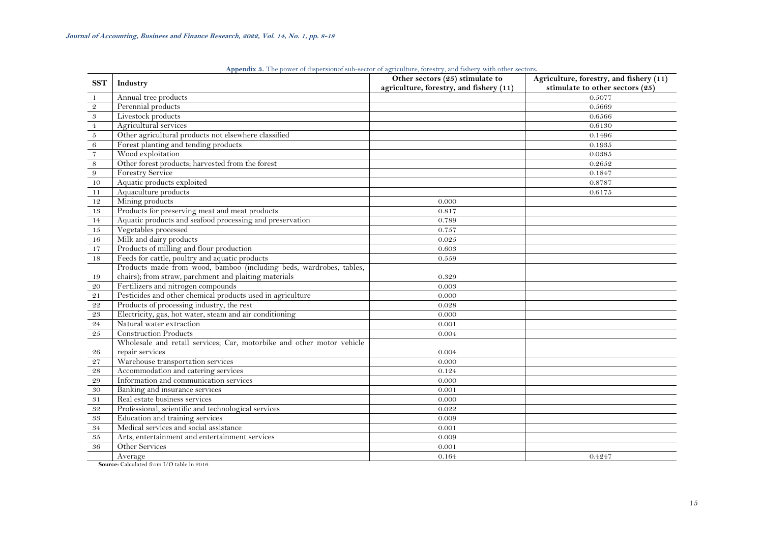<span id="page-7-0"></span>

| <b>SST</b>                 | Industry                                                              | Other sectors (25) stimulate to         | Agriculture, forestry, and fishery (11) |
|----------------------------|-----------------------------------------------------------------------|-----------------------------------------|-----------------------------------------|
|                            |                                                                       | agriculture, forestry, and fishery (11) | stimulate to other sectors (25)         |
| -1                         | Annual tree products                                                  |                                         | 0.5077                                  |
| $\mathfrak{2}$             | Perennial products                                                    |                                         | 0.5669                                  |
| $\ensuremath{\mathcal{S}}$ | Livestock products                                                    |                                         | 0.6566                                  |
| $4\overline{ }$            | Agricultural services                                                 |                                         | 0.6130                                  |
| $\sqrt{5}$                 | Other agricultural products not elsewhere classified                  |                                         | 0.1496                                  |
| $\,6\,$                    | Forest planting and tending products                                  |                                         | 0.1935                                  |
| $\scriptstyle\rm 7$        | Wood exploitation                                                     |                                         | 0.0385                                  |
| $\,$ 8 $\,$                | Other forest products; harvested from the forest                      |                                         | 0.2652                                  |
| 9                          | <b>Forestry Service</b>                                               |                                         | 0.1847                                  |
| 10                         | Aquatic products exploited                                            |                                         | 0.8787                                  |
| 11                         | Aquaculture products                                                  |                                         | 0.6175                                  |
| 12                         | Mining products                                                       | 0.000                                   |                                         |
| 13                         | Products for preserving meat and meat products                        | 0.817                                   |                                         |
| 14                         | Aquatic products and seafood processing and preservation              | 0.789                                   |                                         |
| 15                         | Vegetables processed                                                  | 0.757                                   |                                         |
| 16                         | Milk and dairy products                                               | 0.025                                   |                                         |
| 17                         | Products of milling and flour production                              | 0.603                                   |                                         |
| 18                         | Feeds for cattle, poultry and aquatic products                        | 0.559                                   |                                         |
|                            | Products made from wood, bamboo (including beds, wardrobes, tables,   |                                         |                                         |
| 19                         | chairs); from straw, parchment and plaiting materials                 | 0.329                                   |                                         |
| 20                         | Fertilizers and nitrogen compounds                                    | 0.003                                   |                                         |
| 21                         | Pesticides and other chemical products used in agriculture            | 0.000                                   |                                         |
| $\sqrt{2}\sqrt{2}$         | Products of processing industry, the rest                             | 0.028                                   |                                         |
| 23                         | Electricity, gas, hot water, steam and air conditioning               | 0.000                                   |                                         |
| 24                         | Natural water extraction                                              | 0.001                                   |                                         |
| $\sqrt{25}$                | <b>Construction Products</b>                                          | 0.004                                   |                                         |
|                            | Wholesale and retail services; Car, motorbike and other motor vehicle |                                         |                                         |
| 26                         | repair services                                                       | 0.004                                   |                                         |
| 27                         | Warehouse transportation services                                     | 0.000                                   |                                         |
| 28                         | Accommodation and catering services                                   | 0.124                                   |                                         |
| $\rm 29$                   | Information and communication services                                | 0.000                                   |                                         |
| $30\,$                     | Banking and insurance services                                        | 0.001                                   |                                         |
| 31                         | Real estate business services                                         | 0.000                                   |                                         |
| 32                         | Professional, scientific and technological services                   | 0.022                                   |                                         |
| 33                         | Education and training services                                       | 0.009                                   |                                         |
| 34                         | Medical services and social assistance                                | 0.001                                   |                                         |
| 35                         | Arts, entertainment and entertainment services                        | 0.009                                   |                                         |
| 36                         | Other Services                                                        | 0.001                                   |                                         |
|                            | Average                                                               | 0.164                                   | 0.4247                                  |
|                            |                                                                       |                                         |                                         |

**Appendix 3.** The power of dispersionof sub-sector of agriculture, forestry, and fishery with other sectors**.**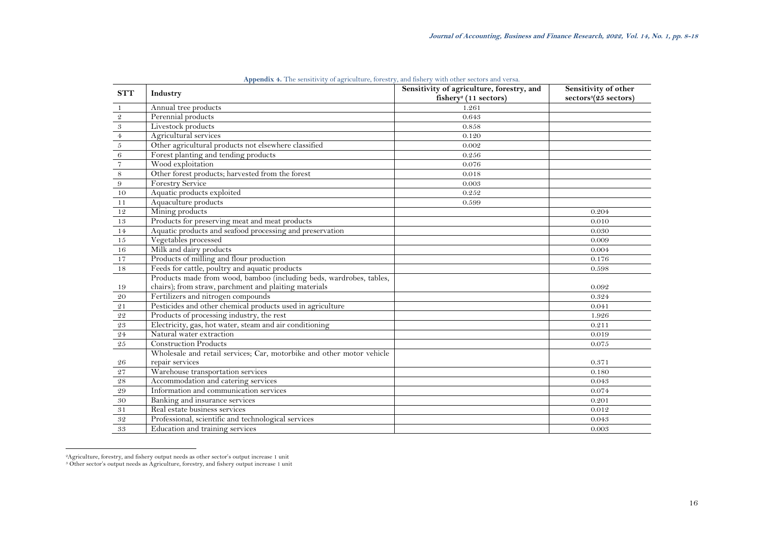| <b>STT</b>                | Industry                                                              | Sensitivity of agriculture, forestry, and<br>fishery <sup>2</sup> (11 sectors) | Sensitivity of other<br>sectors <sup>3</sup> (25 sectors) |
|---------------------------|-----------------------------------------------------------------------|--------------------------------------------------------------------------------|-----------------------------------------------------------|
| -1                        | Annual tree products                                                  | 1.261                                                                          |                                                           |
| $\ensuremath{\mathbf{2}}$ | Perennial products                                                    | 0.643                                                                          |                                                           |
|                           | Livestock products                                                    | 0.858                                                                          |                                                           |
|                           | Agricultural services                                                 | 0.120                                                                          |                                                           |
| $\frac{3}{\frac{4}{6}}$   | Other agricultural products not elsewhere classified                  | 0.002                                                                          |                                                           |
|                           | Forest planting and tending products                                  | 0.256                                                                          |                                                           |
| $\overline{7}$            | Wood exploitation                                                     | 0.076                                                                          |                                                           |
| $\,8\,$                   | Other forest products; harvested from the forest                      | 0.018                                                                          |                                                           |
| $\boldsymbol{9}$          | <b>Forestry Service</b>                                               | 0.003                                                                          |                                                           |
| 10                        | Aquatic products exploited                                            | 0.252                                                                          |                                                           |
| 11                        | Aquaculture products                                                  | 0.599                                                                          |                                                           |
| 12                        | Mining products                                                       |                                                                                | 0.204                                                     |
| 13                        | Products for preserving meat and meat products                        |                                                                                | 0.010                                                     |
| 14                        | Aquatic products and seafood processing and preservation              |                                                                                | 0.030                                                     |
| 15                        | Vegetables processed                                                  |                                                                                | 0.009                                                     |
| 16                        | Milk and dairy products                                               |                                                                                | 0.004                                                     |
| 17                        | Products of milling and flour production                              |                                                                                | 0.176                                                     |
| 18                        | Feeds for cattle, poultry and aquatic products                        |                                                                                | 0.598                                                     |
|                           | Products made from wood, bamboo (including beds, wardrobes, tables,   |                                                                                |                                                           |
| 19                        | chairs); from straw, parchment and plaiting materials                 |                                                                                | 0.092                                                     |
| 20                        | Fertilizers and nitrogen compounds                                    |                                                                                | 0.324                                                     |
| 21                        | Pesticides and other chemical products used in agriculture            |                                                                                | 0.041                                                     |
| 22                        | Products of processing industry, the rest                             |                                                                                | 1.926                                                     |
| 23                        | Electricity, gas, hot water, steam and air conditioning               |                                                                                | 0.211                                                     |
| 24                        | Natural water extraction                                              |                                                                                | 0.019                                                     |
| 25                        | <b>Construction Products</b>                                          |                                                                                | 0.075                                                     |
|                           | Wholesale and retail services; Car, motorbike and other motor vehicle |                                                                                |                                                           |
| 26                        | repair services                                                       |                                                                                | 0.371                                                     |
| 27                        | Warehouse transportation services                                     |                                                                                | 0.180                                                     |
| $\sqrt{28}$               | Accommodation and catering services                                   |                                                                                | 0.043                                                     |
| 29                        | Information and communication services                                |                                                                                | 0.074                                                     |
| 30                        | Banking and insurance services                                        |                                                                                | 0.201                                                     |
| 31                        | Real estate business services                                         |                                                                                | 0.012                                                     |
| 32                        | Professional, scientific and technological services                   |                                                                                | 0.043                                                     |
| 33                        | Education and training services                                       |                                                                                | 0.003                                                     |

**Appendix 4.** The sensitivity of agriculture, forestry, and fishery with other sectors and versa.

<span id="page-8-0"></span>

Agriculture, forestry, and fishery output needs as other sector's output increase 1 unit <sup>3</sup> Other sector's output needs as Agriculture, forestry, and fishery output increase 1 unit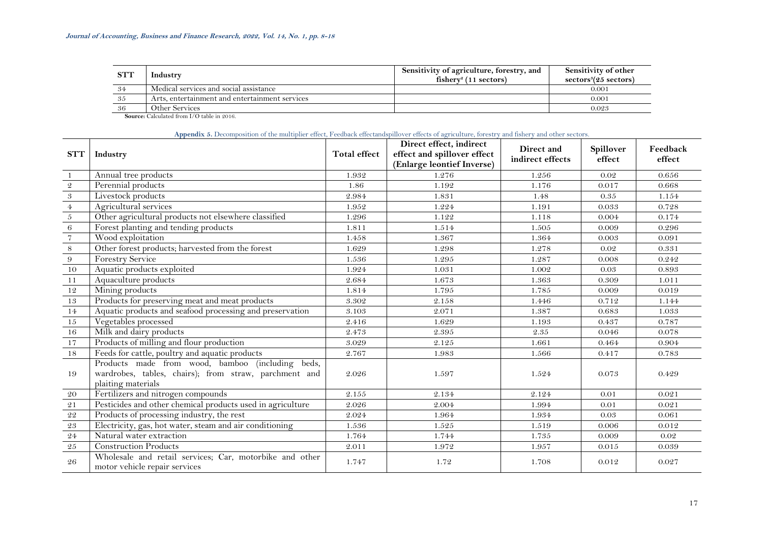| <b>STT</b> | Industry                                       | Sensitivity of agriculture, forestry, and<br>$fisherv2$ (11 sectors) | Sensitivity of other<br>sectors <sup>3</sup> (25 sectors) |
|------------|------------------------------------------------|----------------------------------------------------------------------|-----------------------------------------------------------|
| -34        | Medical services and social assistance         |                                                                      | 0.001                                                     |
| -35        | Arts, entertainment and entertainment services |                                                                      | 0.001                                                     |
| -36        | Other Services                                 |                                                                      | 0.023                                                     |

### **Appendix 5.** Decomposition of the multiplier effect, Feedback effectandspillover effects of agriculture, forestry and fishery and other sectors.

<span id="page-9-0"></span>

| <b>STT</b>      | Industry                                                                                                                           | <b>Total effect</b> | Direct effect, indirect<br>effect and spillover effect<br>(Enlarge leontief Inverse) | Direct and<br>indirect effects | Spillover<br>effect | Feedback<br>effect |
|-----------------|------------------------------------------------------------------------------------------------------------------------------------|---------------------|--------------------------------------------------------------------------------------|--------------------------------|---------------------|--------------------|
|                 | Annual tree products                                                                                                               | 1.932               | 1.276                                                                                | 1.256                          | 0.02                | 0.656              |
| $\mathfrak{D}$  | Perennial products                                                                                                                 | 1.86                | 1.192                                                                                | 1.176                          | 0.017               | 0.668              |
| 3               | Livestock products                                                                                                                 | 2.984               | 1.831                                                                                | 1.48                           | 0.35                | 1.154              |
| $\overline{4}$  | Agricultural services                                                                                                              | 1.952               | 1.224                                                                                | 1.191                          | 0.033               | 0.728              |
| 5               | Other agricultural products not elsewhere classified                                                                               | 1.296               | 1.122                                                                                | 1.118                          | 0.004               | 0.174              |
| 6               | Forest planting and tending products                                                                                               | 1.811               | 1.514                                                                                | 1.505                          | 0.009               | 0.296              |
| $\overline{7}$  | Wood exploitation                                                                                                                  | 1.458               | 1.367                                                                                | 1.364                          | 0.003               | 0.091              |
| $8\,$           | Other forest products; harvested from the forest                                                                                   | 1.629               | 1.298                                                                                | 1.278                          | 0.02                | 0.331              |
| $9\phantom{.0}$ | <b>Forestry Service</b>                                                                                                            | 1.536               | 1.295                                                                                | 1.287                          | 0.008               | 0.242              |
| 10              | Aquatic products exploited                                                                                                         | 1.924               | 1.031                                                                                | 1.002                          | 0.03                | 0.893              |
| 11              | Aquaculture products                                                                                                               | 2.684               | 1.673                                                                                | 1.363                          | 0.309               | 1.011              |
| 12              | Mining products                                                                                                                    | 1.814               | 1.795                                                                                | 1.785                          | 0.009               | 0.019              |
| 13              | Products for preserving meat and meat products                                                                                     | 3.302               | 2.158                                                                                | 1.446                          | 0.712               | 1.144              |
| 14              | Aquatic products and seafood processing and preservation                                                                           | 3.103               | 2.071                                                                                | 1.387                          | 0.683               | 1.033              |
| 15              | Vegetables processed                                                                                                               | 2.416               | 1.629                                                                                | 1.193                          | 0.437               | 0.787              |
| 16              | Milk and dairy products                                                                                                            | 2.473               | 2.395                                                                                | 2.35                           | 0.046               | 0.078              |
| 17              | Products of milling and flour production                                                                                           | 3.029               | 2.125                                                                                | 1.661                          | 0.464               | 0.904              |
| 18              | Feeds for cattle, poultry and aquatic products                                                                                     | 2.767               | 1.983                                                                                | 1.566                          | 0.417               | 0.783              |
| 19              | Products made from wood, bamboo (including<br>beds,<br>wardrobes, tables, chairs); from straw, parchment and<br>plaiting materials | 2.026               | 1.597                                                                                | 1.524                          | 0.073               | 0.429              |
| 20              | Fertilizers and nitrogen compounds                                                                                                 | 2.155               | 2.134                                                                                | 2.124                          | 0.01                | 0.021              |
| 21              | Pesticides and other chemical products used in agriculture                                                                         | 2.026               | 2.004                                                                                | 1.994                          | 0.01                | 0.021              |
| ${\bf 22}$      | Products of processing industry, the rest                                                                                          | 2.024               | 1.964                                                                                | 1.934                          | 0.03                | 0.061              |
| ${\bf 23}$      | Electricity, gas, hot water, steam and air conditioning                                                                            | 1.536               | 1.525                                                                                | 1.519                          | 0.006               | 0.012              |
| ${\bf 24}$      | Natural water extraction                                                                                                           | 1.764               | 1.744                                                                                | 1.735                          | 0.009               | 0.02               |
| $\sqrt{25}$     | <b>Construction Products</b>                                                                                                       | 2.011               | 1.972                                                                                | 1.957                          | 0.015               | 0.039              |
| 26              | Wholesale and retail services; Car, motorbike and other<br>motor vehicle repair services                                           | 1.747               | 1.72                                                                                 | 1.708                          | 0.012               | 0.027              |